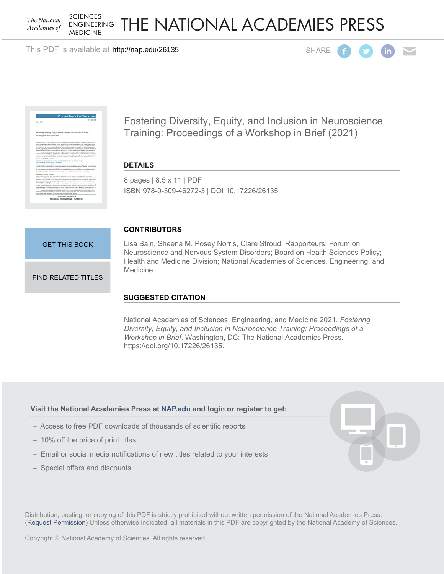**SCIENCES** The National **ENGINEERING** Academies of **MEDICINE** 

THE NATIONAL ACADEMIES PRESS

This PDF is available at http://nap.edu/26135





Fostering Diversity, Equity, and Inclusion in Neuroscience Training: Proceedings of a Workshop in Brief (2021)

#### **DETAILS**

8 pages | 8.5 x 11 | PDF ISBN 978-0-309-46272-3 | DOI 10.17226/26135

#### **CONTRIBUTORS**

[GET THIS BOOK](http://cart.nap.edu/cart/cart.cgi?list=fs&action=buy%20it&record_id=26135&isbn=978-0-309-46272-3&quantity=1)

[FIND RELATED TITLES](http://www.nap.edu/related.php?record_id=26135)

Lisa Bain, Sheena M. Posey Norris, Clare Stroud, Rapporteurs; Forum on Neuroscience and Nervous System Disorders; Board on Health Sciences Policy; Health and Medicine Division; National Academies of Sciences, Engineering, and Medicine

## **SUGGESTED CITATION**

National Academies of Sciences, Engineering, and Medicine 2021. *Fostering Diversity, Equity, and Inclusion in Neuroscience Training: Proceedings of a Workshop in Brief*. Washington, DC: The National Academies Press. https://doi.org/10.17226/26135.

#### **Visit the National Academies Press at [NAP.edu](http://nap.edu) and login or register to get:**

- Access to free PDF downloads of thousands of scientific reports
- 10% off the price of print titles
- Email or social media notifications of new titles related to your interests
- Special offers and discounts

D, FC.

Distribution, posting, or copying of this PDF is strictly prohibited without written permission of the National Academies Press. [\(Request Permission](http://www.nap.edu/reprint_permission.html)) Unless otherwise indicated, all materials in this PDF are copyrighted by the National Academy of Sciences.

Copyright © National Academy of Sciences. All rights reserved.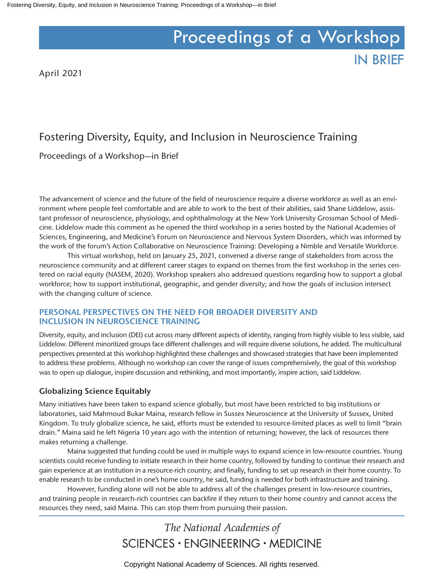# Proceedings of a Workshop

IN BRIEF

April 2021

# Fostering Diversity, Equity, and Inclusion in Neuroscience Training

Proceedings of a Workshop—in Brief

The advancement of science and the future of the field of neuroscience require a diverse workforce as well as an environment where people feel comfortable and are able to work to the best of their abilities, said Shane Liddelow, assistant professor of neuroscience, physiology, and ophthalmology at the New York University Grossman School of Medicine. Liddelow made this comment as he opened the third workshop in a series hosted by the National Academies of Sciences, Engineering, and Medicine's Forum on Neuroscience and Nervous System Disorders, which was informed by the work of the forum's Action Collaborative on Neuroscience Training: Developing a Nimble and Versatile Workforce.

This virtual workshop, held on January 25, 2021, convened a diverse range of stakeholders from across the neuroscience community and at different career stages to expand on themes from the first workshop in the series centered on racial equity (NASEM, 2020). Workshop speakers also addressed questions regarding how to support a global workforce; how to support institutional, geographic, and gender diversity; and how the goals of inclusion intersect with the changing culture of science.

## **PERSONAL PERSPECTIVES ON THE NEED FOR BROADER DIVERSITY AND INCLUSION IN NEUROSCIENCE TRAINING**

Diversity, equity, and inclusion (DEI) cut across many different aspects of identity, ranging from highly visible to less visible, said Liddelow. Different minoritized groups face different challenges and will require diverse solutions, he added. The multicultural perspectives presented at this workshop highlighted these challenges and showcased strategies that have been implemented to address these problems. Although no workshop can cover the range of issues comprehensively, the goal of this workshop was to open up dialogue, inspire discussion and rethinking, and most importantly, inspire action, said Liddelow.

## **Globalizing Science Equitably**

Many initiatives have been taken to expand science globally, but most have been restricted to big institutions or laboratories, said Mahmoud Bukar Maina, research fellow in Sussex Neuroscience at the University of Sussex, United Kingdom. To truly globalize science, he said, efforts must be extended to resource-limited places as well to limit "brain drain." Maina said he left Nigeria 10 years ago with the intention of returning; however, the lack of resources there makes returning a challenge.

Maina suggested that funding could be used in multiple ways to expand science in low-resource countries. Young scientists could receive funding to initiate research in their home country, followed by funding to continue their research and gain experience at an institution in a resource-rich country, and finally, funding to set up research in their home country. To enable research to be conducted in one's home country, he said, funding is needed for both infrastructure and training.

However, funding alone will not be able to address all of the challenges present in low-resource countries, and training people in research-rich countries can backfire if they return to their home country and cannot access the resources they need, said Maina. This can stop them from pursuing their passion.

# The National Academies of SCIENCES · ENGINEERING · MEDICINE

Copyright National Academy of Sciences. All rights reserved.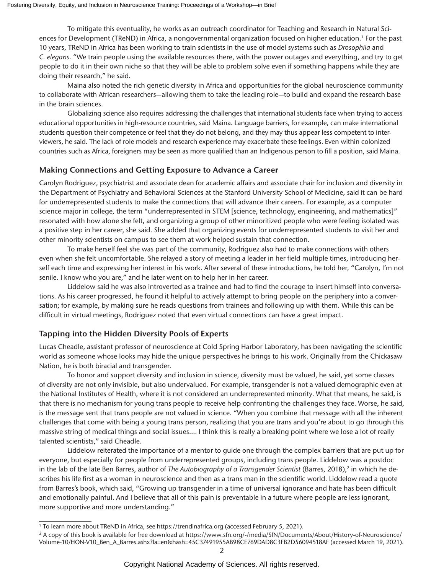To mitigate this eventuality, he works as an outreach coordinator for Teaching and Research in Natural Sciences for Development (TReND) in Africa, a nongovernmental organization focused on higher education.<sup>1</sup> For the past 10 years, TReND in Africa has been working to train scientists in the use of model systems such as *Drosophila* and *C. elegans*. "We train people using the available resources there, with the power outages and everything, and try to get people to do it in their own niche so that they will be able to problem solve even if something happens while they are doing their research," he said.

Maina also noted the rich genetic diversity in Africa and opportunities for the global neuroscience community to collaborate with African researchers—allowing them to take the leading role—to build and expand the research base in the brain sciences.

Globalizing science also requires addressing the challenges that international students face when trying to access educational opportunities in high-resource countries, said Maina. Language barriers, for example, can make international students question their competence or feel that they do not belong, and they may thus appear less competent to interviewers, he said. The lack of role models and research experience may exacerbate these feelings. Even within colonized countries such as Africa, foreigners may be seen as more qualified than an Indigenous person to fill a position, said Maina.

#### **Making Connections and Getting Exposure to Advance a Career**

Carolyn Rodriguez, psychiatrist and associate dean for academic affairs and associate chair for inclusion and diversity in the Department of Psychiatry and Behavioral Sciences at the Stanford University School of Medicine, said it can be hard for underrepresented students to make the connections that will advance their careers. For example, as a computer science major in college, the term "underrepresented in STEM [science, technology, engineering, and mathematics]" resonated with how alone she felt, and organizing a group of other minoritized people who were feeling isolated was a positive step in her career, she said. She added that organizing events for underrepresented students to visit her and other minority scientists on campus to see them at work helped sustain that connection.

To make herself feel she was part of the community, Rodriguez also had to make connections with others even when she felt uncomfortable. She relayed a story of meeting a leader in her field multiple times, introducing herself each time and expressing her interest in his work. After several of these introductions, he told her, "Carolyn, I'm not senile. I know who you are," and he later went on to help her in her career.

Liddelow said he was also introverted as a trainee and had to find the courage to insert himself into conversations. As his career progressed, he found it helpful to actively attempt to bring people on the periphery into a conversation; for example, by making sure he reads questions from trainees and following up with them. While this can be difficult in virtual meetings, Rodriguez noted that even virtual connections can have a great impact.

#### **Tapping into the Hidden Diversity Pools of Experts**

Lucas Cheadle, assistant professor of neuroscience at Cold Spring Harbor Laboratory, has been navigating the scientific world as someone whose looks may hide the unique perspectives he brings to his work. Originally from the Chickasaw Nation, he is both biracial and transgender.

To honor and support diversity and inclusion in science, diversity must be valued, he said, yet some classes of diversity are not only invisible, but also undervalued. For example, transgender is not a valued demographic even at the National Institutes of Health, where it is not considered an underrepresented minority. What that means, he said, is that there is no mechanism for young trans people to receive help confronting the challenges they face. Worse, he said, is the message sent that trans people are not valued in science. "When you combine that message with all the inherent challenges that come with being a young trans person, realizing that you are trans and you're about to go through this massive string of medical things and social issues.… I think this is really a breaking point where we lose a lot of really talented scientists," said Cheadle.

Liddelow reiterated the importance of a mentor to guide one through the complex barriers that are put up for everyone, but especially for people from underrepresented groups, including trans people. Liddelow was a postdoc in the lab of the late Ben Barres, author of *The Autobiography of a Transgender Scientist* (Barres, 2018),<sup>2</sup> in which he describes his life first as a woman in neuroscience and then as a trans man in the scientific world. Liddelow read a quote from Barres's book, which said, "Growing up transgender in a time of universal ignorance and hate has been difficult and emotionally painful. And I believe that all of this pain is preventable in a future where people are less ignorant, more supportive and more understanding."

<sup>1</sup> To learn more about TReND in Africa, see https://trendinafrica.org (accessed February 5, 2021).

<sup>&</sup>lt;sup>2</sup> A copy of this book is available for free download at https://www.sfn.org/-/media/SfN/Documents/About/History-of-Neuroscience/ Volume-10/HON-V10\_Ben\_A\_Barres.ashx?la=en&hash=45C37491955AB98CE769DAD8C3FB2D56094518AF (accessed March 19, 2021).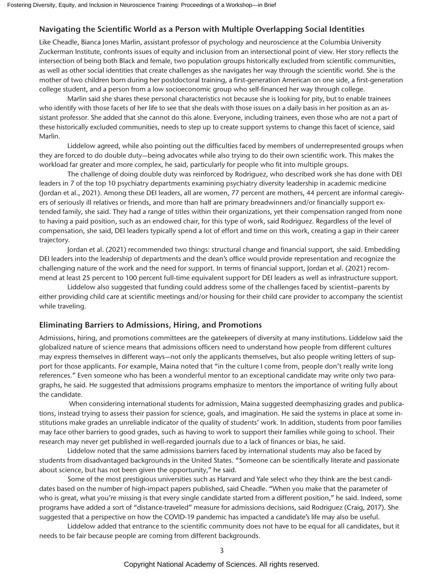#### **Navigating the Scientific World as a Person with Multiple Overlapping Social Identities**

Like Cheadle, Bianca Jones Marlin, assistant professor of psychology and neuroscience at the Columbia University Zuckerman Institute, confronts issues of equity and inclusion from an intersectional point of view. Her story reflects the intersection of being both Black and female, two population groups historically excluded from scientific communities, as well as other social identities that create challenges as she navigates her way through the scientific world. She is the mother of two children born during her postdoctoral training, a first-generation American on one side, a first-generation college student, and a person from a low socioeconomic group who self-financed her way through college.

Marlin said she shares these personal characteristics not because she is looking for pity, but to enable trainees who identify with those facets of her life to see that she deals with those issues on a daily basis in her position as an assistant professor. She added that she cannot do this alone. Everyone, including trainees, even those who are not a part of these historically excluded communities, needs to step up to create support systems to change this facet of science, said Marlin.

Liddelow agreed, while also pointing out the difficulties faced by members of underrepresented groups when they are forced to do double duty—being advocates while also trying to do their own scientific work. This makes the workload far greater and more complex, he said, particularly for people who fit into multiple groups.

The challenge of doing double duty was reinforced by Rodriguez, who described work she has done with DEI leaders in 7 of the top 10 psychiatry departments examining psychiatry diversity leadership in academic medicine (Jordan et al., 2021). Among these DEI leaders, all are women, 77 percent are mothers, 44 percent are informal caregivers of seriously ill relatives or friends, and more than half are primary breadwinners and/or financially support extended family, she said. They had a range of titles within their organizations, yet their compensation ranged from none to having a paid position, such as an endowed chair, for this type of work, said Rodriguez. Regardless of the level of compensation, she said, DEI leaders typically spend a lot of effort and time on this work, creating a gap in their career trajectory.

Jordan et al. (2021) recommended two things: structural change and financial support, she said. Embedding DEI leaders into the leadership of departments and the dean's office would provide representation and recognize the challenging nature of the work and the need for support. In terms of financial support, Jordan et al. (2021) recommend at least 25 percent to 100 percent full-time equivalent support for DEI leaders as well as infrastructure support.

Liddelow also suggested that funding could address some of the challenges faced by scientist–parents by either providing child care at scientific meetings and/or housing for their child care provider to accompany the scientist while traveling.

#### **Eliminating Barriers to Admissions, Hiring, and Promotions**

Admissions, hiring, and promotions committees are the gatekeepers of diversity at many institutions. Liddelow said the globalized nature of science means that admissions officers need to understand how people from different cultures may express themselves in different ways—not only the applicants themselves, but also people writing letters of support for those applicants. For example, Maina noted that "in the culture I come from, people don't really write long references." Even someone who has been a wonderful mentor to an exceptional candidate may write only two paragraphs, he said. He suggested that admissions programs emphasize to mentors the importance of writing fully about the candidate.

 When considering international students for admission, Maina suggested deemphasizing grades and publications, instead trying to assess their passion for science, goals, and imagination. He said the systems in place at some institutions make grades an unreliable indicator of the quality of students' work. In addition, students from poor families may face other barriers to good grades, such as having to work to support their families while going to school. Their research may never get published in well-regarded journals due to a lack of finances or bias, he said.

Liddelow noted that the same admissions barriers faced by international students may also be faced by students from disadvantaged backgrounds in the United States. "Someone can be scientifically literate and passionate about science, but has not been given the opportunity," he said.

Some of the most prestigious universities such as Harvard and Yale select who they think are the best candidates based on the number of high-impact papers published, said Cheadle. "When you make that the parameter of who is great, what you're missing is that every single candidate started from a different position," he said. Indeed, some programs have added a sort of "distance-traveled" measure for admissions decisions, said Rodriguez (Craig, 2017). She suggested that a perspective on how the COVID-19 pandemic has impacted a candidate's life may also be useful.

Liddelow added that entrance to the scientific community does not have to be equal for all candidates, but it needs to be fair because people are coming from different backgrounds.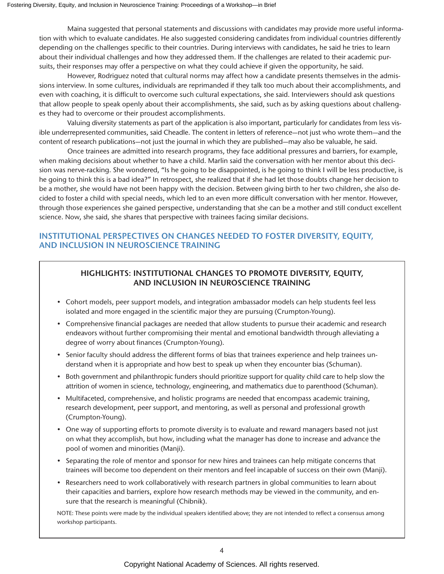Maina suggested that personal statements and discussions with candidates may provide more useful information with which to evaluate candidates. He also suggested considering candidates from individual countries differently depending on the challenges specific to their countries. During interviews with candidates, he said he tries to learn about their individual challenges and how they addressed them. If the challenges are related to their academic pursuits, their responses may offer a perspective on what they could achieve if given the opportunity, he said.

However, Rodriguez noted that cultural norms may affect how a candidate presents themselves in the admissions interview. In some cultures, individuals are reprimanded if they talk too much about their accomplishments, and even with coaching, it is difficult to overcome such cultural expectations, she said. Interviewers should ask questions that allow people to speak openly about their accomplishments, she said, such as by asking questions about challenges they had to overcome or their proudest accomplishments.

Valuing diversity statements as part of the application is also important, particularly for candidates from less visible underrepresented communities, said Cheadle. The content in letters of reference—not just who wrote them—and the content of research publications—not just the journal in which they are published—may also be valuable, he said.

Once trainees are admitted into research programs, they face additional pressures and barriers, for example, when making decisions about whether to have a child. Marlin said the conversation with her mentor about this decision was nerve-racking. She wondered, "Is he going to be disappointed, is he going to think I will be less productive, is he going to think this is a bad idea?" In retrospect, she realized that if she had let those doubts change her decision to be a mother, she would have not been happy with the decision. Between giving birth to her two children, she also decided to foster a child with special needs, which led to an even more difficult conversation with her mentor. However, through those experiences she gained perspective, understanding that she can be a mother and still conduct excellent science. Now, she said, she shares that perspective with trainees facing similar decisions.

# **INSTITUTIONAL PERSPECTIVES ON CHANGES NEEDED TO FOSTER DIVERSITY, EQUITY, AND INCLUSION IN NEUROSCIENCE TRAINING**

# **HIGHLIGHTS: INSTITUTIONAL CHANGES TO PROMOTE DIVERSITY, EQUITY, AND INCLUSION IN NEUROSCIENCE TRAINING**

- Cohort models, peer support models, and integration ambassador models can help students feel less isolated and more engaged in the scientific major they are pursuing (Crumpton-Young).
- Comprehensive financial packages are needed that allow students to pursue their academic and research endeavors without further compromising their mental and emotional bandwidth through alleviating a degree of worry about finances (Crumpton-Young).
- Senior faculty should address the different forms of bias that trainees experience and help trainees understand when it is appropriate and how best to speak up when they encounter bias (Schuman).
- Both government and philanthropic funders should prioritize support for quality child care to help slow the attrition of women in science, technology, engineering, and mathematics due to parenthood (Schuman).
- Multifaceted, comprehensive, and holistic programs are needed that encompass academic training, research development, peer support, and mentoring, as well as personal and professional growth (Crumpton-Young).
- One way of supporting efforts to promote diversity is to evaluate and reward managers based not just on what they accomplish, but how, including what the manager has done to increase and advance the pool of women and minorities (Manji).
- Separating the role of mentor and sponsor for new hires and trainees can help mitigate concerns that trainees will become too dependent on their mentors and feel incapable of success on their own (Manji).
- Researchers need to work collaboratively with research partners in global communities to learn about their capacities and barriers, explore how research methods may be viewed in the community, and ensure that the research is meaningful (Chibnik).

NOTE: These points were made by the individual speakers identified above; they are not intended to reflect a consensus among workshop participants.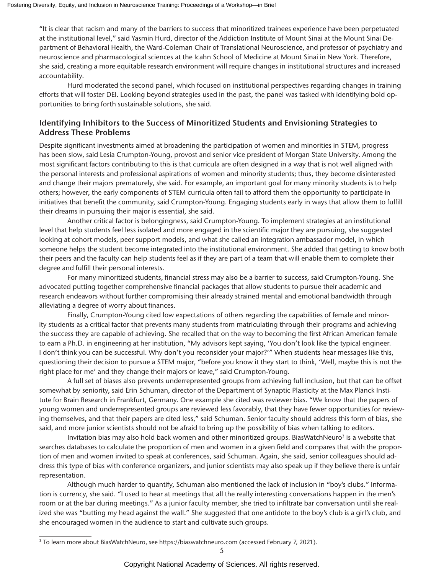"It is clear that racism and many of the barriers to success that minoritized trainees experience have been perpetuated at the institutional level," said Yasmin Hurd, director of the Addiction Institute of Mount Sinai at the Mount Sinai Department of Behavioral Health, the Ward-Coleman Chair of Translational Neuroscience, and professor of psychiatry and neuroscience and pharmacological sciences at the Icahn School of Medicine at Mount Sinai in New York. Therefore, she said, creating a more equitable research environment will require changes in institutional structures and increased accountability.

Hurd moderated the second panel, which focused on institutional perspectives regarding changes in training efforts that will foster DEI. Looking beyond strategies used in the past, the panel was tasked with identifying bold opportunities to bring forth sustainable solutions, she said.

# **Identifying Inhibitors to the Success of Minoritized Students and Envisioning Strategies to Address These Problems**

Despite significant investments aimed at broadening the participation of women and minorities in STEM, progress has been slow, said Lesia Crumpton-Young, provost and senior vice president of Morgan State University. Among the most significant factors contributing to this is that curricula are often designed in a way that is not well aligned with the personal interests and professional aspirations of women and minority students; thus, they become disinterested and change their majors prematurely, she said. For example, an important goal for many minority students is to help others; however, the early components of STEM curricula often fail to afford them the opportunity to participate in initiatives that benefit the community, said Crumpton-Young. Engaging students early in ways that allow them to fulfill their dreams in pursuing their major is essential, she said.

Another critical factor is belongingness, said Crumpton-Young. To implement strategies at an institutional level that help students feel less isolated and more engaged in the scientific major they are pursuing, she suggested looking at cohort models, peer support models, and what she called an integration ambassador model, in which someone helps the student become integrated into the institutional environment. She added that getting to know both their peers and the faculty can help students feel as if they are part of a team that will enable them to complete their degree and fulfill their personal interests.

For many minoritized students, financial stress may also be a barrier to success, said Crumpton-Young. She advocated putting together comprehensive financial packages that allow students to pursue their academic and research endeavors without further compromising their already strained mental and emotional bandwidth through alleviating a degree of worry about finances.

Finally, Crumpton-Young cited low expectations of others regarding the capabilities of female and minority students as a critical factor that prevents many students from matriculating through their programs and achieving the success they are capable of achieving. She recalled that on the way to becoming the first African American female to earn a Ph.D. in engineering at her institution, "My advisors kept saying, 'You don't look like the typical engineer. I don't think you can be successful. Why don't you reconsider your major?'" When students hear messages like this, questioning their decision to pursue a STEM major, "before you know it they start to think, 'Well, maybe this is not the right place for me' and they change their majors or leave," said Crumpton-Young.

A full set of biases also prevents underrepresented groups from achieving full inclusion, but that can be offset somewhat by seniority, said Erin Schuman, director of the Department of Synaptic Plasticity at the Max Planck Institute for Brain Research in Frankfurt, Germany. One example she cited was reviewer bias. "We know that the papers of young women and underrepresented groups are reviewed less favorably, that they have fewer opportunities for reviewing themselves, and that their papers are cited less," said Schuman. Senior faculty should address this form of bias, she said, and more junior scientists should not be afraid to bring up the possibility of bias when talking to editors.

Invitation bias may also hold back women and other minoritized groups. BiasWatchNeuro3 is a website that searches databases to calculate the proportion of men and women in a given field and compares that with the proportion of men and women invited to speak at conferences, said Schuman. Again, she said, senior colleagues should address this type of bias with conference organizers, and junior scientists may also speak up if they believe there is unfair representation.

Although much harder to quantify, Schuman also mentioned the lack of inclusion in "boy's clubs." Information is currency, she said. "I used to hear at meetings that all the really interesting conversations happen in the men's room or at the bar during meetings." As a junior faculty member, she tried to infiltrate bar conversation until she realized she was "butting my head against the wall." She suggested that one antidote to the boy's club is a girl's club, and she encouraged women in the audience to start and cultivate such groups.

<sup>3</sup> To learn more about BiasWatchNeuro, see https://biaswatchneuro.com (accessed February 7, 2021).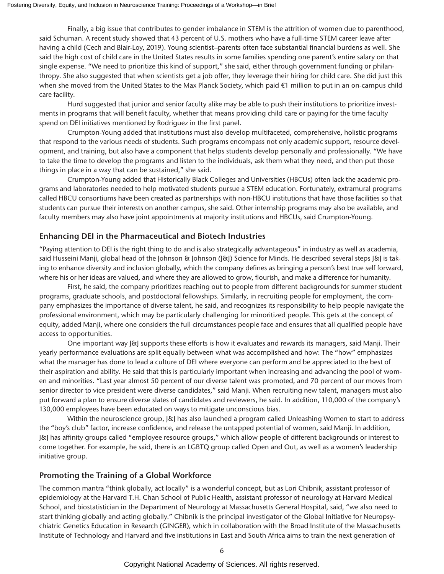Finally, a big issue that contributes to gender imbalance in STEM is the attrition of women due to parenthood, said Schuman. A recent study showed that 43 percent of U.S. mothers who have a full-time STEM career leave after having a child (Cech and Blair-Loy, 2019). Young scientist–parents often face substantial financial burdens as well. She said the high cost of child care in the United States results in some families spending one parent's entire salary on that single expense. "We need to prioritize this kind of support," she said, either through government funding or philanthropy. She also suggested that when scientists get a job offer, they leverage their hiring for child care. She did just this when she moved from the United States to the Max Planck Society, which paid €1 million to put in an on-campus child care facility.

Hurd suggested that junior and senior faculty alike may be able to push their institutions to prioritize investments in programs that will benefit faculty, whether that means providing child care or paying for the time faculty spend on DEI initiatives mentioned by Rodriguez in the first panel.

Crumpton-Young added that institutions must also develop multifaceted, comprehensive, holistic programs that respond to the various needs of students. Such programs encompass not only academic support, resource development, and training, but also have a component that helps students develop personally and professionally. "We have to take the time to develop the programs and listen to the individuals, ask them what they need, and then put those things in place in a way that can be sustained," she said.

Crumpton-Young added that Historically Black Colleges and Universities (HBCUs) often lack the academic programs and laboratories needed to help motivated students pursue a STEM education. Fortunately, extramural programs called HBCU consortiums have been created as partnerships with non-HBCU institutions that have those facilities so that students can pursue their interests on another campus, she said. Other internship programs may also be available, and faculty members may also have joint appointments at majority institutions and HBCUs, said Crumpton-Young.

#### **Enhancing DEI in the Pharmaceutical and Biotech Industries**

"Paying attention to DEI is the right thing to do and is also strategically advantageous" in industry as well as academia, said Husseini Manji, global head of the Johnson & Johnson ([&]) Science for Minds. He described several steps [&] is taking to enhance diversity and inclusion globally, which the company defines as bringing a person's best true self forward, where his or her ideas are valued, and where they are allowed to grow, flourish, and make a difference for humanity.

First, he said, the company prioritizes reaching out to people from different backgrounds for summer student programs, graduate schools, and postdoctoral fellowships. Similarly, in recruiting people for employment, the company emphasizes the importance of diverse talent, he said, and recognizes its responsibility to help people navigate the professional environment, which may be particularly challenging for minoritized people. This gets at the concept of equity, added Manji, where one considers the full circumstances people face and ensures that all qualified people have access to opportunities.

One important way J&J supports these efforts is how it evaluates and rewards its managers, said Manji. Their yearly performance evaluations are split equally between what was accomplished and how: The "how" emphasizes what the manager has done to lead a culture of DEI where everyone can perform and be appreciated to the best of their aspiration and ability. He said that this is particularly important when increasing and advancing the pool of women and minorities. "Last year almost 50 percent of our diverse talent was promoted, and 70 percent of our moves from senior director to vice president were diverse candidates," said Manji. When recruiting new talent, managers must also put forward a plan to ensure diverse slates of candidates and reviewers, he said. In addition, 110,000 of the company's 130,000 employees have been educated on ways to mitigate unconscious bias.

Within the neuroscience group, [&] has also launched a program called Unleashing Women to start to address the "boy's club" factor, increase confidence, and release the untapped potential of women, said Manji. In addition, J&J has affinity groups called "employee resource groups," which allow people of different backgrounds or interest to come together. For example, he said, there is an LGBTQ group called Open and Out, as well as a women's leadership initiative group.

## **Promoting the Training of a Global Workforce**

The common mantra "think globally, act locally" is a wonderful concept, but as Lori Chibnik, assistant professor of epidemiology at the Harvard T.H. Chan School of Public Health, assistant professor of neurology at Harvard Medical School, and biostatistician in the Department of Neurology at Massachusetts General Hospital, said, "we also need to start thinking globally and acting globally." Chibnik is the principal investigator of the Global Initiative for Neuropsychiatric Genetics Education in Research (GINGER), which in collaboration with the Broad Institute of the Massachusetts Institute of Technology and Harvard and five institutions in East and South Africa aims to train the next generation of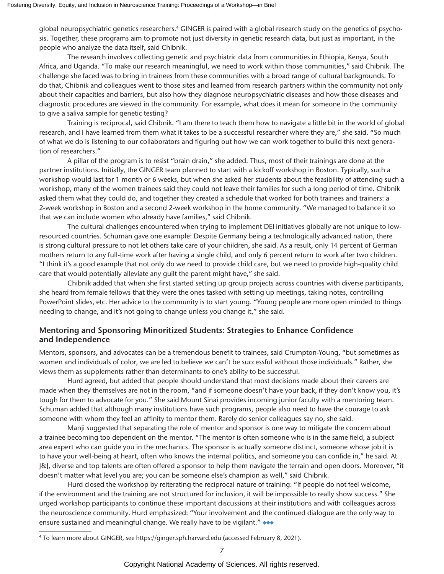global neuropsychiatric genetics researchers.4 GINGER is paired with a global research study on the genetics of psychosis. Together, these programs aim to promote not just diversity in genetic research data, but just as important, in the people who analyze the data itself, said Chibnik.

The research involves collecting genetic and psychiatric data from communities in Ethiopia, Kenya, South Africa, and Uganda. "To make our research meaningful, we need to work within those communities," said Chibnik. The challenge she faced was to bring in trainees from these communities with a broad range of cultural backgrounds. To do that, Chibnik and colleagues went to those sites and learned from research partners within the community not only about their capacities and barriers, but also how they diagnose neuropsychiatric diseases and how those diseases and diagnostic procedures are viewed in the community. For example, what does it mean for someone in the community to give a saliva sample for genetic testing?

Training is reciprocal, said Chibnik. "I am there to teach them how to navigate a little bit in the world of global research, and I have learned from them what it takes to be a successful researcher where they are," she said. "So much of what we do is listening to our collaborators and figuring out how we can work together to build this next generation of researchers."

A pillar of the program is to resist "brain drain," she added. Thus, most of their trainings are done at the partner institutions. Initially, the GINGER team planned to start with a kickoff workshop in Boston. Typically, such a workshop would last for 1 month or 6 weeks, but when she asked her students about the feasibility of attending such a workshop, many of the women trainees said they could not leave their families for such a long period of time. Chibnik asked them what they could do, and together they created a schedule that worked for both trainees and trainers: a 2-week workshop in Boston and a second 2-week workshop in the home community. "We managed to balance it so that we can include women who already have families," said Chibnik.

The cultural challenges encountered when trying to implement DEI initiatives globally are not unique to lowresourced countries. Schuman gave one example: Despite Germany being a technologically advanced nation, there is strong cultural pressure to not let others take care of your children, she said. As a result, only 14 percent of German mothers return to any full-time work after having a single child, and only 6 percent return to work after two children. "I think it's a good example that not only do we need to provide child care, but we need to provide high-quality child care that would potentially alleviate any guilt the parent might have," she said.

Chibnik added that when she first started setting up group projects across countries with diverse participants, she heard from female fellows that they were the ones tasked with setting up meetings, taking notes, controlling PowerPoint slides, etc. Her advice to the community is to start young. "Young people are more open minded to things needing to change, and it's not going to change unless you change it," she said.

#### **Mentoring and Sponsoring Minoritized Students: Strategies to Enhance Confidence and Independence**

Mentors, sponsors, and advocates can be a tremendous benefit to trainees, said Crumpton-Young, "but sometimes as women and individuals of color, we are led to believe we can't be successful without those individuals." Rather, she views them as supplements rather than determinants to one's ability to be successful.

Hurd agreed, but added that people should understand that most decisions made about their careers are made when they themselves are not in the room, "and if someone doesn't have your back, if they don't know you, it's tough for them to advocate for you." She said Mount Sinai provides incoming junior faculty with a mentoring team. Schuman added that although many institutions have such programs, people also need to have the courage to ask someone with whom they feel an affinity to mentor them. Rarely do senior colleagues say no, she said.

Manji suggested that separating the role of mentor and sponsor is one way to mitigate the concern about a trainee becoming too dependent on the mentor. "The mentor is often someone who is in the same field, a subject area expert who can guide you in the mechanics. The sponsor is actually someone distinct, someone whose job it is to have your well-being at heart, often who knows the internal politics, and someone you can confide in," he said. At J&J, diverse and top talents are often offered a sponsor to help them navigate the terrain and open doors. Moreover, "it doesn't matter what level you are; you can be someone else's champion as well," said Chibnik.

Hurd closed the workshop by reiterating the reciprocal nature of training: "If people do not feel welcome, if the environment and the training are not structured for inclusion, it will be impossible to really show success." She urged workshop participants to continue these important discussions at their institutions and with colleagues across the neuroscience community. Hurd emphasized: "Your involvement and the continued dialogue are the only way to ensure sustained and meaningful change. We really have to be vigilant." ◆ ◆ ◆

<sup>4</sup> To learn more about GINGER, see https://ginger.sph.harvard.edu (accessed February 8, 2021).